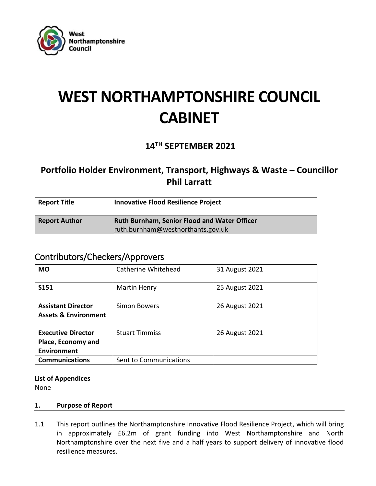

# **WEST NORTHAMPTONSHIRE COUNCIL CABINET**

# **14TH SEPTEMBER 2021**

# **Portfolio Holder Environment, Transport, Highways & Waste – Councillor Phil Larratt**

| <b>Report Title</b>  | <b>Innovative Flood Resilience Project</b>          |
|----------------------|-----------------------------------------------------|
| <b>Report Author</b> | <b>Ruth Burnham, Senior Flood and Water Officer</b> |
|                      | ruth.burnham@westnorthants.gov.uk                   |

# Contributors/Checkers/Approvers

| <b>MO</b>                                                      | Catherine Whitehead    | 31 August 2021 |
|----------------------------------------------------------------|------------------------|----------------|
| S151                                                           | <b>Martin Henry</b>    | 25 August 2021 |
| <b>Assistant Director</b><br><b>Assets &amp; Environment</b>   | Simon Bowers           | 26 August 2021 |
| <b>Executive Director</b><br>Place, Economy and<br>Environment | <b>Stuart Timmiss</b>  | 26 August 2021 |
| <b>Communications</b>                                          | Sent to Communications |                |

# **List of Appendices**

None

# **1. Purpose of Report**

1.1 This report outlines the Northamptonshire Innovative Flood Resilience Project, which will bring in approximately £6.2m of grant funding into West Northamptonshire and North Northamptonshire over the next five and a half years to support delivery of innovative flood resilience measures.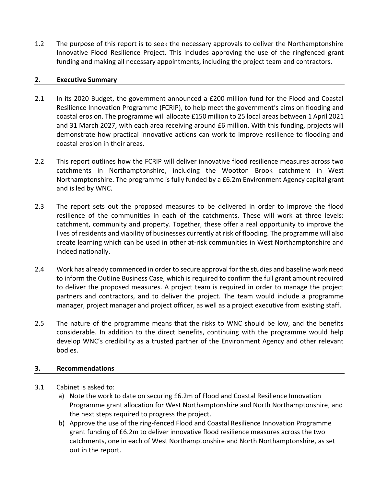1.2 The purpose of this report is to seek the necessary approvals to deliver the Northamptonshire Innovative Flood Resilience Project. This includes approving the use of the ringfenced grant funding and making all necessary appointments, including the project team and contractors.

#### **2. Executive Summary**

- 2.1 In its 2020 Budget, the government announced a £200 million fund for the Flood and Coastal Resilience Innovation Programme (FCRIP), to help meet the government's aims on flooding and coastal erosion. The programme will allocate £150 million to 25 local areas between 1 April 2021 and 31 March 2027, with each area receiving around £6 million. With this funding, projects will demonstrate how practical innovative actions can work to improve resilience to flooding and coastal erosion in their areas.
- 2.2 This report outlines how the FCRIP will deliver innovative flood resilience measures across two catchments in Northamptonshire, including the Wootton Brook catchment in West Northamptonshire. The programme is fully funded by a £6.2m Environment Agency capital grant and is led by WNC.
- 2.3 The report sets out the proposed measures to be delivered in order to improve the flood resilience of the communities in each of the catchments. These will work at three levels: catchment, community and property. Together, these offer a real opportunity to improve the lives of residents and viability of businesses currently at risk of flooding. The programme will also create learning which can be used in other at-risk communities in West Northamptonshire and indeed nationally.
- 2.4 Work has already commenced in order to secure approval for the studies and baseline work need to inform the Outline Business Case, which is required to confirm the full grant amount required to deliver the proposed measures. A project team is required in order to manage the project partners and contractors, and to deliver the project. The team would include a programme manager, project manager and project officer, as well as a project executive from existing staff.
- 2.5 The nature of the programme means that the risks to WNC should be low, and the benefits considerable. In addition to the direct benefits, continuing with the programme would help develop WNC's credibility as a trusted partner of the Environment Agency and other relevant bodies.

# **3. Recommendations**

- 3.1 Cabinet is asked to:
	- a) Note the work to date on securing £6.2m of Flood and Coastal Resilience Innovation Programme grant allocation for West Northamptonshire and North Northamptonshire, and the next steps required to progress the project.
	- b) Approve the use of the ring-fenced Flood and Coastal Resilience Innovation Programme grant funding of £6.2m to deliver innovative flood resilience measures across the two catchments, one in each of West Northamptonshire and North Northamptonshire, as set out in the report.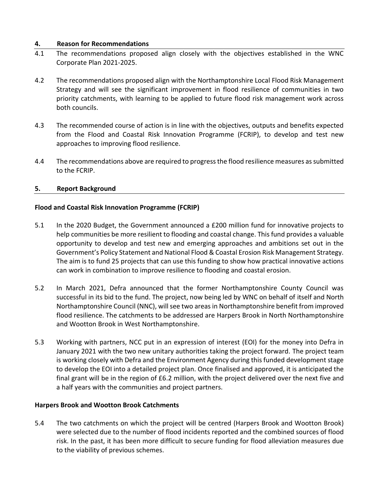#### **4. Reason for Recommendations**

- 4.1 The recommendations proposed align closely with the objectives established in the WNC Corporate Plan 2021-2025.
- 4.2 The recommendations proposed align with the Northamptonshire Local Flood Risk Management Strategy and will see the significant improvement in flood resilience of communities in two priority catchments, with learning to be applied to future flood risk management work across both councils.
- 4.3 The recommended course of action is in line with the objectives, outputs and benefits expected from the Flood and Coastal Risk Innovation Programme (FCRIP), to develop and test new approaches to improving flood resilience.
- 4.4 The recommendations above are required to progress the flood resilience measures as submitted to the FCRIP.

#### **5. Report Background**

#### **Flood and Coastal Risk Innovation Programme (FCRIP)**

- 5.1 In the 2020 Budget, the Government announced a £200 million fund for innovative projects to help communities be more resilient to flooding and coastal change. This fund provides a valuable opportunity to develop and test new and emerging approaches and ambitions set out in the Government's Policy Statement and National Flood & Coastal Erosion Risk Management Strategy. The aim is to fund 25 projects that can use this funding to show how practical innovative actions can work in combination to improve resilience to flooding and coastal erosion.
- 5.2 In March 2021, Defra announced that the former Northamptonshire County Council was successful in its bid to the fund. The project, now being led by WNC on behalf of itself and North Northamptonshire Council (NNC), will see two areas in Northamptonshire benefit from improved flood resilience. The catchments to be addressed are Harpers Brook in North Northamptonshire and Wootton Brook in West Northamptonshire.
- 5.3 Working with partners, NCC put in an expression of interest (EOI) for the money into Defra in January 2021 with the two new unitary authorities taking the project forward. The project team is working closely with Defra and the Environment Agency during this funded development stage to develop the EOI into a detailed project plan. Once finalised and approved, it is anticipated the final grant will be in the region of £6.2 million, with the project delivered over the next five and a half years with the communities and project partners.

#### **Harpers Brook and Wootton Brook Catchments**

5.4 The two catchments on which the project will be centred (Harpers Brook and Wootton Brook) were selected due to the number of flood incidents reported and the combined sources of flood risk. In the past, it has been more difficult to secure funding for flood alleviation measures due to the viability of previous schemes.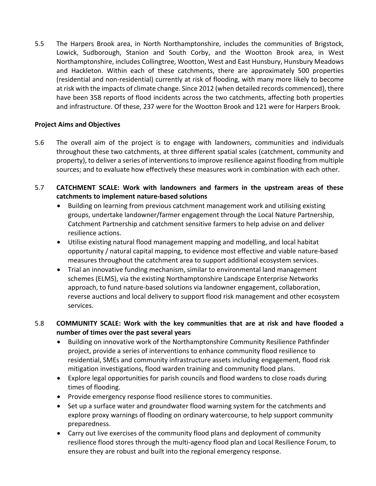5.5 The Harpers Brook area, in North Northamptonshire, includes the communities of Brigstock, Lowick, Sudborough, Stanion and South Corby, and the Wootton Brook area, in West Northamptonshire, includes Collingtree, Wootton, West and East Hunsbury, Hunsbury Meadows and Hackleton. Within each of these catchments, there are approximately 500 properties (residential and non-residential) currently at risk of flooding, with many more likely to become at risk with the impacts of climate change. Since 2012 (when detailed records commenced), there have been 358 reports of flood incidents across the two catchments, affecting both properties and infrastructure. Of these, 237 were for the Wootton Brook and 121 were for Harpers Brook.

# **Project Aims and Objectives**

5.6 The overall aim of the project is to engage with landowners, communities and individuals throughout these two catchments, at three different spatial scales (catchment, community and property), to deliver a series of interventions to improve resilience against flooding from multiple sources; and to evaluate how effectively these measures work in combination with each other.

# 5.7 **CATCHMENT SCALE: Work with landowners and farmers in the upstream areas of these catchments to implement nature-based solutions**

- Building on learning from previous catchment management work and utilising existing groups, undertake landowner/farmer engagement through the Local Nature Partnership, Catchment Partnership and catchment sensitive farmers to help advise on and deliver resilience actions.
- Utilise existing natural flood management mapping and modelling, and local habitat opportunity / natural capital mapping, to evidence most effective and viable nature-based measures throughout the catchment area to support additional ecosystem services.
- Trial an innovative funding mechanism, similar to environmental land management schemes (ELMS), via the existing Northamptonshire Landscape Enterprise Networks approach, to fund nature-based solutions via landowner engagement, collaboration, reverse auctions and local delivery to support flood risk management and other ecosystem services.

# 5.8 **COMMUNITY SCALE: Work with the key communities that are at risk and have flooded a number of times over the past several years**

- Building on innovative work of the Northamptonshire Community Resilience Pathfinder project, provide a series of interventions to enhance community flood resilience to residential, SMEs and community infrastructure assets including engagement, flood risk mitigation investigations, flood warden training and community flood plans.
- Explore legal opportunities for parish councils and flood wardens to close roads during times of flooding.
- Provide emergency response flood resilience stores to communities.
- Set up a surface water and groundwater flood warning system for the catchments and explore proxy warnings of flooding on ordinary watercourse, to help support community preparedness.
- Carry out live exercises of the community flood plans and deployment of community resilience flood stores through the multi-agency flood plan and Local Resilience Forum, to ensure they are robust and built into the regional emergency response.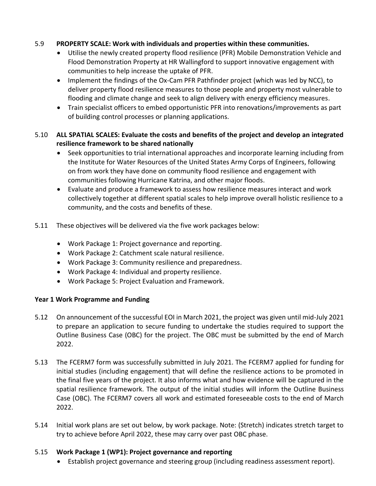# 5.9 **PROPERTY SCALE: Work with individuals and properties within these communities.**

- Utilise the newly created property flood resilience (PFR) Mobile Demonstration Vehicle and Flood Demonstration Property at HR Wallingford to support innovative engagement with communities to help increase the uptake of PFR.
- Implement the findings of the Ox-Cam PFR Pathfinder project (which was led by NCC), to deliver property flood resilience measures to those people and property most vulnerable to flooding and climate change and seek to align delivery with energy efficiency measures.
- Train specialist officers to embed opportunistic PFR into renovations/improvements as part of building control processes or planning applications.

# 5.10 **ALL SPATIAL SCALES: Evaluate the costs and benefits of the project and develop an integrated resilience framework to be shared nationally**

- Seek opportunities to trial international approaches and incorporate learning including from the Institute for Water Resources of the United States Army Corps of Engineers, following on from work they have done on community flood resilience and engagement with communities following Hurricane Katrina, and other major floods.
- Evaluate and produce a framework to assess how resilience measures interact and work collectively together at different spatial scales to help improve overall holistic resilience to a community, and the costs and benefits of these.
- 5.11 These objectives will be delivered via the five work packages below:
	- Work Package 1: Project governance and reporting.
	- Work Package 2: Catchment scale natural resilience.
	- Work Package 3: Community resilience and preparedness.
	- Work Package 4: Individual and property resilience.
	- Work Package 5: Project Evaluation and Framework.

# **Year 1 Work Programme and Funding**

- 5.12 On announcement of the successful EOI in March 2021, the project was given until mid-July 2021 to prepare an application to secure funding to undertake the studies required to support the Outline Business Case (OBC) for the project. The OBC must be submitted by the end of March 2022.
- 5.13 The FCERM7 form was successfully submitted in July 2021. The FCERM7 applied for funding for initial studies (including engagement) that will define the resilience actions to be promoted in the final five years of the project. It also informs what and how evidence will be captured in the spatial resilience framework. The output of the initial studies will inform the Outline Business Case (OBC). The FCERM7 covers all work and estimated foreseeable costs to the end of March 2022.
- 5.14 Initial work plans are set out below, by work package. Note: (Stretch) indicates stretch target to try to achieve before April 2022, these may carry over past OBC phase.

# 5.15 **Work Package 1 (WP1): Project governance and reporting**

Establish project governance and steering group (including readiness assessment report).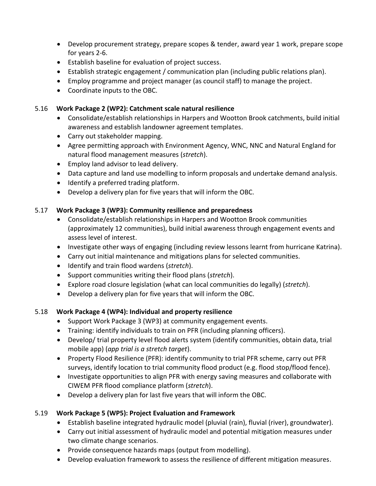- Develop procurement strategy, prepare scopes & tender, award year 1 work, prepare scope for years 2-6.
- Establish baseline for evaluation of project success.
- Establish strategic engagement / communication plan (including public relations plan).
- Employ programme and project manager (as council staff) to manage the project.
- Coordinate inputs to the OBC.

#### 5.16 **Work Package 2 (WP2): Catchment scale natural resilience**

- Consolidate/establish relationships in Harpers and Wootton Brook catchments, build initial awareness and establish landowner agreement templates.
- Carry out stakeholder mapping.
- Agree permitting approach with Environment Agency, WNC, NNC and Natural England for natural flood management measures (*stretch*).
- Employ land advisor to lead delivery.
- Data capture and land use modelling to inform proposals and undertake demand analysis.
- Identify a preferred trading platform.
- Develop a delivery plan for five years that will inform the OBC.

# 5.17 **Work Package 3 (WP3): Community resilience and preparedness**

- Consolidate/establish relationships in Harpers and Wootton Brook communities (approximately 12 communities), build initial awareness through engagement events and assess level of interest.
- Investigate other ways of engaging (including review lessons learnt from hurricane Katrina).
- Carry out initial maintenance and mitigations plans for selected communities.
- Identify and train flood wardens (*stretch*).
- Support communities writing their flood plans (*stretch*).
- Explore road closure legislation (what can local communities do legally) (*stretch*).
- Develop a delivery plan for five years that will inform the OBC.

# 5.18 **Work Package 4 (WP4): Individual and property resilience**

- Support Work Package 3 (WP3) at community engagement events.
- Training: identify individuals to train on PFR (including planning officers).
- Develop/ trial property level flood alerts system (identify communities, obtain data, trial mobile app) (*app trial is a stretch target*).
- Property Flood Resilience (PFR): identify community to trial PFR scheme, carry out PFR surveys, identify location to trial community flood product (e.g. flood stop/flood fence).
- Investigate opportunities to align PFR with energy saving measures and collaborate with CIWEM PFR flood compliance platform (*stretch*).
- Develop a delivery plan for last five years that will inform the OBC.

# 5.19 **Work Package 5 (WP5): Project Evaluation and Framework**

- Establish baseline integrated hydraulic model (pluvial (rain), fluvial (river), groundwater).
- Carry out initial assessment of hydraulic model and potential mitigation measures under two climate change scenarios.
- Provide consequence hazards maps (output from modelling).
- Develop evaluation framework to assess the resilience of different mitigation measures.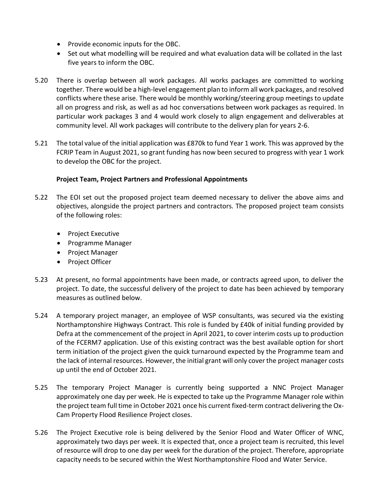- Provide economic inputs for the OBC.
- Set out what modelling will be required and what evaluation data will be collated in the last five years to inform the OBC.
- 5.20 There is overlap between all work packages. All works packages are committed to working together. There would be a high-level engagement plan to inform all work packages, and resolved conflicts where these arise. There would be monthly working/steering group meetings to update all on progress and risk, as well as ad hoc conversations between work packages as required. In particular work packages 3 and 4 would work closely to align engagement and deliverables at community level. All work packages will contribute to the delivery plan for years 2-6.
- 5.21 The total value of the initial application was £870k to fund Year 1 work. This was approved by the FCRIP Team in August 2021, so grant funding has now been secured to progress with year 1 work to develop the OBC for the project.

# **Project Team, Project Partners and Professional Appointments**

- 5.22 The EOI set out the proposed project team deemed necessary to deliver the above aims and objectives, alongside the project partners and contractors. The proposed project team consists of the following roles:
	- Project Executive
	- Programme Manager
	- Project Manager
	- Project Officer
- 5.23 At present, no formal appointments have been made, or contracts agreed upon, to deliver the project. To date, the successful delivery of the project to date has been achieved by temporary measures as outlined below.
- 5.24 A temporary project manager, an employee of WSP consultants, was secured via the existing Northamptonshire Highways Contract. This role is funded by £40k of initial funding provided by Defra at the commencement of the project in April 2021, to cover interim costs up to production of the FCERM7 application. Use of this existing contract was the best available option for short term initiation of the project given the quick turnaround expected by the Programme team and the lack of internal resources. However, the initial grant will only cover the project manager costs up until the end of October 2021.
- 5.25 The temporary Project Manager is currently being supported a NNC Project Manager approximately one day per week. He is expected to take up the Programme Manager role within the project team full time in October 2021 once his current fixed-term contract delivering the Ox-Cam Property Flood Resilience Project closes.
- 5.26 The Project Executive role is being delivered by the Senior Flood and Water Officer of WNC, approximately two days per week. It is expected that, once a project team is recruited, this level of resource will drop to one day per week for the duration of the project. Therefore, appropriate capacity needs to be secured within the West Northamptonshire Flood and Water Service.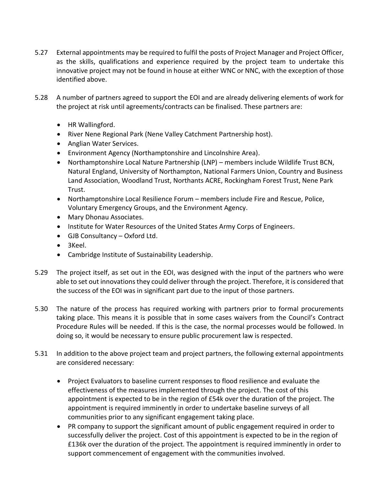- 5.27 External appointments may be required to fulfil the posts of Project Manager and Project Officer, as the skills, qualifications and experience required by the project team to undertake this innovative project may not be found in house at either WNC or NNC, with the exception of those identified above.
- 5.28 A number of partners agreed to support the EOI and are already delivering elements of work for the project at risk until agreements/contracts can be finalised. These partners are:
	- HR Wallingford.
	- River Nene Regional Park (Nene Valley Catchment Partnership host).
	- Anglian Water Services.
	- Environment Agency (Northamptonshire and Lincolnshire Area).
	- Northamptonshire Local Nature Partnership (LNP) members include Wildlife Trust BCN, Natural England, University of Northampton, National Farmers Union, Country and Business Land Association, Woodland Trust, Northants ACRE, Rockingham Forest Trust, Nene Park Trust.
	- Northamptonshire Local Resilience Forum members include Fire and Rescue, Police, Voluntary Emergency Groups, and the Environment Agency.
	- Mary Dhonau Associates.
	- Institute for Water Resources of the United States Army Corps of Engineers.
	- GJB Consultancy Oxford Ltd.
	- 3Keel.
	- Cambridge Institute of Sustainability Leadership.
- 5.29 The project itself, as set out in the EOI, was designed with the input of the partners who were able to set out innovations they could deliver through the project. Therefore, it is considered that the success of the EOI was in significant part due to the input of those partners.
- 5.30 The nature of the process has required working with partners prior to formal procurements taking place. This means it is possible that in some cases waivers from the Council's Contract Procedure Rules will be needed. If this is the case, the normal processes would be followed. In doing so, it would be necessary to ensure public procurement law is respected.
- 5.31 In addition to the above project team and project partners, the following external appointments are considered necessary:
	- Project Evaluators to baseline current responses to flood resilience and evaluate the effectiveness of the measures implemented through the project. The cost of this appointment is expected to be in the region of £54k over the duration of the project. The appointment is required imminently in order to undertake baseline surveys of all communities prior to any significant engagement taking place.
	- PR company to support the significant amount of public engagement required in order to successfully deliver the project. Cost of this appointment is expected to be in the region of £136k over the duration of the project. The appointment is required imminently in order to support commencement of engagement with the communities involved.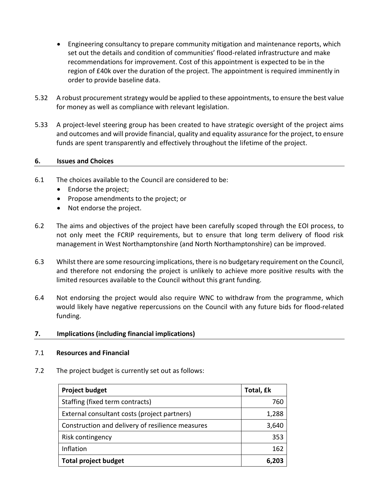- Engineering consultancy to prepare community mitigation and maintenance reports, which set out the details and condition of communities' flood-related infrastructure and make recommendations for improvement. Cost of this appointment is expected to be in the region of £40k over the duration of the project. The appointment is required imminently in order to provide baseline data.
- 5.32 A robust procurement strategy would be applied to these appointments, to ensure the best value for money as well as compliance with relevant legislation.
- 5.33 A project-level steering group has been created to have strategic oversight of the project aims and outcomes and will provide financial, quality and equality assurance for the project, to ensure funds are spent transparently and effectively throughout the lifetime of the project.

#### **6. Issues and Choices**

- 6.1 The choices available to the Council are considered to be:
	- Endorse the project;
	- Propose amendments to the project; or
	- Not endorse the project.
- 6.2 The aims and objectives of the project have been carefully scoped through the EOI process, to not only meet the FCRIP requirements, but to ensure that long term delivery of flood risk management in West Northamptonshire (and North Northamptonshire) can be improved.
- 6.3 Whilst there are some resourcing implications, there is no budgetary requirement on the Council, and therefore not endorsing the project is unlikely to achieve more positive results with the limited resources available to the Council without this grant funding.
- 6.4 Not endorsing the project would also require WNC to withdraw from the programme, which would likely have negative repercussions on the Council with any future bids for flood-related funding.
- **7. Implications (including financial implications)**

#### 7.1 **Resources and Financial**

7.2 The project budget is currently set out as follows:

| <b>Project budget</b>                            | Total, £k |
|--------------------------------------------------|-----------|
| Staffing (fixed term contracts)                  | 760       |
| External consultant costs (project partners)     | 1,288     |
| Construction and delivery of resilience measures | 3,640     |
| Risk contingency                                 | 353       |
| Inflation                                        | 162       |
| <b>Total project budget</b>                      | 6,203     |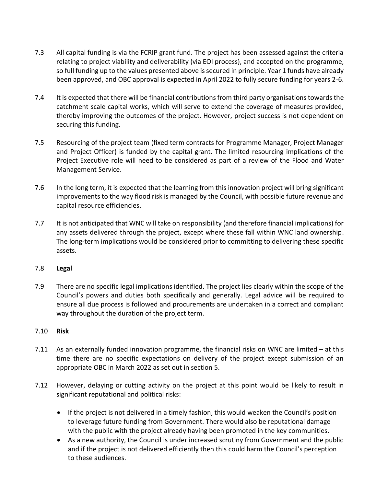- 7.3 All capital funding is via the FCRIP grant fund. The project has been assessed against the criteria relating to project viability and deliverability (via EOI process), and accepted on the programme, so full funding up to the values presented above is secured in principle. Year 1 funds have already been approved, and OBC approval is expected in April 2022 to fully secure funding for years 2-6.
- 7.4 It is expected that there will be financial contributions from third party organisations towards the catchment scale capital works, which will serve to extend the coverage of measures provided, thereby improving the outcomes of the project. However, project success is not dependent on securing this funding.
- 7.5 Resourcing of the project team (fixed term contracts for Programme Manager, Project Manager and Project Officer) is funded by the capital grant. The limited resourcing implications of the Project Executive role will need to be considered as part of a review of the Flood and Water Management Service.
- 7.6 In the long term, it is expected that the learning from this innovation project will bring significant improvements to the way flood risk is managed by the Council, with possible future revenue and capital resource efficiencies.
- 7.7 It is not anticipated that WNC will take on responsibility (and therefore financial implications) for any assets delivered through the project, except where these fall within WNC land ownership. The long-term implications would be considered prior to committing to delivering these specific assets.
- 7.8 **Legal**
- 7.9 There are no specific legal implications identified. The project lies clearly within the scope of the Council's powers and duties both specifically and generally. Legal advice will be required to ensure all due process is followed and procurements are undertaken in a correct and compliant way throughout the duration of the project term.

#### 7.10 **Risk**

- 7.11 As an externally funded innovation programme, the financial risks on WNC are limited at this time there are no specific expectations on delivery of the project except submission of an appropriate OBC in March 2022 as set out in section 5.
- 7.12 However, delaying or cutting activity on the project at this point would be likely to result in significant reputational and political risks:
	- If the project is not delivered in a timely fashion, this would weaken the Council's position to leverage future funding from Government. There would also be reputational damage with the public with the project already having been promoted in the key communities.
	- As a new authority, the Council is under increased scrutiny from Government and the public and if the project is not delivered efficiently then this could harm the Council's perception to these audiences.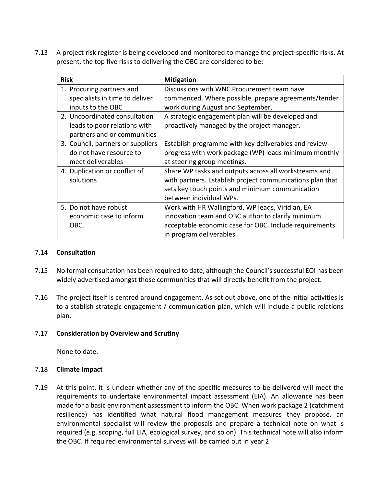7.13 A project risk register is being developed and monitored to manage the project-specific risks. At present, the top five risks to delivering the OBC are considered to be:

| <b>Risk</b>                       | <b>Mitigation</b>                                         |
|-----------------------------------|-----------------------------------------------------------|
| 1. Procuring partners and         | Discussions with WNC Procurement team have                |
| specialists in time to deliver    | commenced. Where possible, prepare agreements/tender      |
| inputs to the OBC                 | work during August and September.                         |
| 2. Uncoordinated consultation     | A strategic engagement plan will be developed and         |
| leads to poor relations with      | proactively managed by the project manager.               |
| partners and or communities       |                                                           |
| 3. Council, partners or suppliers | Establish programme with key deliverables and review      |
| do not have resource to           | progress with work package (WP) leads minimum monthly     |
| meet deliverables                 | at steering group meetings.                               |
| 4. Duplication or conflict of     | Share WP tasks and outputs across all workstreams and     |
| solutions                         | with partners. Establish project communications plan that |
|                                   | sets key touch points and minimum communication           |
|                                   | between individual WPs.                                   |
| 5. Do not have robust             | Work with HR Wallingford, WP leads, Viridian, EA          |
| economic case to inform           | innovation team and OBC author to clarify minimum         |
| OBC.                              | acceptable economic case for OBC. Include requirements    |
|                                   | in program deliverables.                                  |

#### 7.14 **Consultation**

- 7.15 No formal consultation has been required to date, although the Council's successful EOI has been widely advertised amongst those communities that will directly benefit from the project.
- 7.16 The project itself is centred around engagement. As set out above, one of the initial activities is to a stablish strategic engagement / communication plan, which will include a public relations plan.

#### 7.17 **Consideration by Overview and Scrutiny**

None to date.

#### 7.18 **Climate Impact**

7.19 At this point, it is unclear whether any of the specific measures to be delivered will meet the requirements to undertake environmental impact assessment (EIA). An allowance has been made for a basic environment assessment to inform the OBC. When work package 2 (catchment resilience) has identified what natural flood management measures they propose, an environmental specialist will review the proposals and prepare a technical note on what is required (e.g. scoping, full EIA, ecological survey, and so on). This technical note will also inform the OBC. If required environmental surveys will be carried out in year 2.